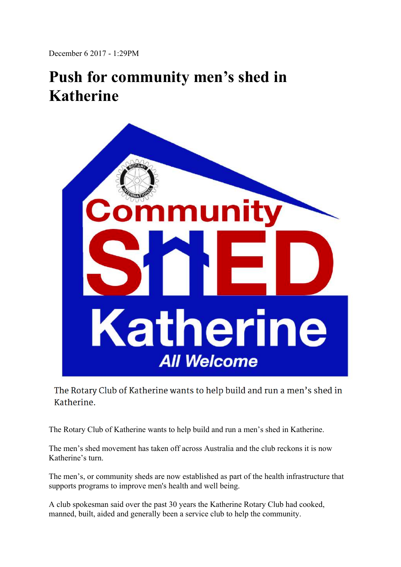December 6 2017 - 1:29PM

## **Push for community men's shed in Katherine**



The Rotary Club of Katherine wants to help build and run a men's shed in Katherine.

The Rotary Club of Katherine wants to help build and run a men's shed in Katherine.

The men's shed movement has taken off across Australia and the club reckons it is now Katherine's turn.

The men's, or community sheds are now established as part of the health infrastructure that supports programs to improve men's health and well being.

A club spokesman said over the past 30 years the Katherine Rotary Club had cooked, manned, built, aided and generally been a service club to help the community.